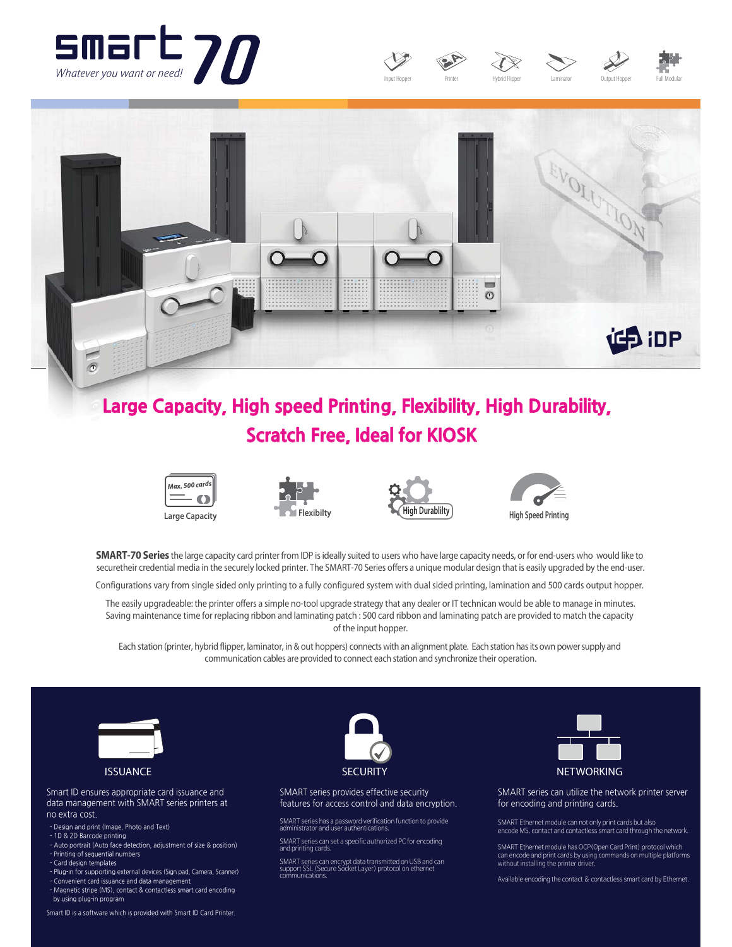









# Large Capacity, High speed Printing, Flexibility, High Durability, **Scratch Free, Ideal for KIOSK**









**SMART-70 Series** the large capacity card printer from IDP is ideally suited to users who have large capacity needs, or for end-users who would like to securetheir credential media in the securely locked printer. The SMART-70 Series offers a unique modular design that is easily upgraded by the end-user.

Configurations vary from single sided only printing to a fully configured system with dual sided printing, lamination and 500 cards output hopper.

The easily upgradeable: the printer offers a simple no-tool upgrade strategy that any dealer or IT technican would be able to manage in minutes. Saving maintenance time for replacing ribbon and laminating patch : 500 card ribbon and laminating patch are provided to match the capacity of the input hopper.

Each station (printer, hybrid flipper, laminator, in & out hoppers) connects with an alignment plate. Each station has its own power supply and communication cables are provided to connect each station and synchronize their operation.



Smart ID ensures appropriate card issuance and data management with SMART series printers at no extra cost.

- Design and print (Image, Photo and Text)
- 1D & 2D Barcode printing
- Auto portrait (Auto face detection, adjustment of size & position) - Printing of sequential numbers
- Card design templates - Plug-in for supporting external devices (Sign pad, Camera, Scanner) - Convenient card issuance and data management
- Magnetic stripe (MS), contact & contactless smart card encoding
- by using plug-in program



SMART series provides effective security features for access control and data encryption.

- SMART series has a password verification function to provide<br>administrator and user authentications.
- SMART series can set a specific authorized PC for encoding<br>and printing cards.

SMART series can encrypt data transmitted on USB and can<br>support SSL (Secure Socket Layer) protocol on ethernet communications.



SMART series can utilize the network printer server for encoding and printing cards.

SMART Ethernet module can not only print cards but also<br>encode MS, contact and contactless smart card through the network.

SMART Ethernet module has OCP (Open Card Print) protocol which =;H?H=I>?;H>JLCHN=;L>M<SOMCHA=IGG;H>MIHGOFNCJF?JF;N@ILGM without installing the printer driver

Available encoding the contact & contactless smart card by Ethernet.

Smart ID is a software which is provided with Smart ID Card Printer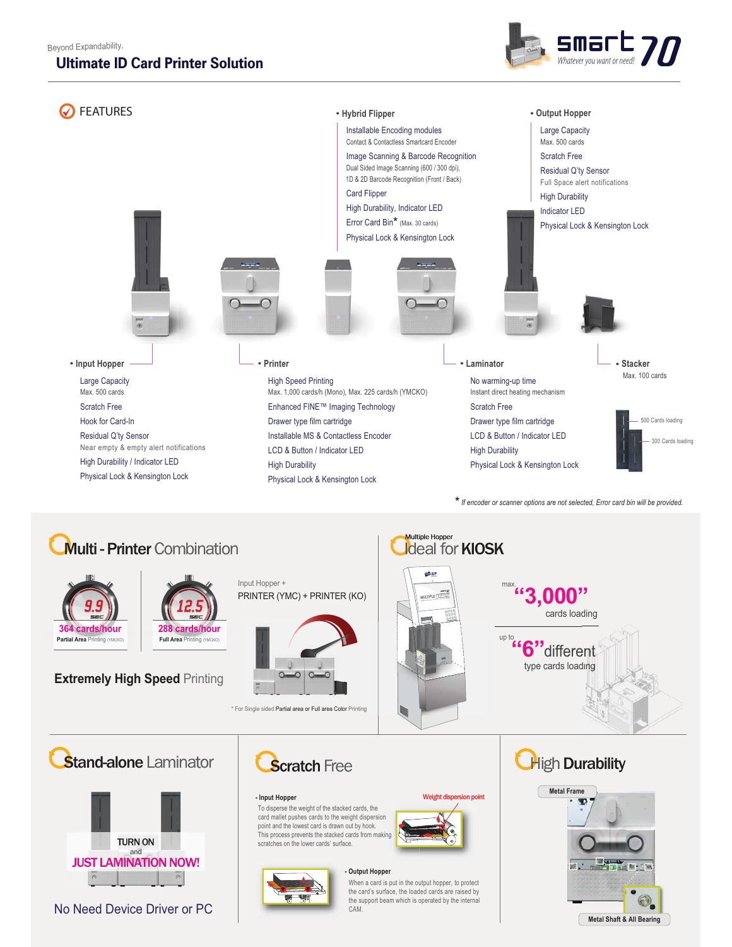#### Beyond Expandability,

### **Ultimate ID Card Printer Solution**





# **Multi - Printer** Combination



12.5 **288 cards/hour Full Area Printing (YMCKO)** 

**Extremely High Speed Printing** 





\* For Single sided Partial area or Full area Color Printing



Weight dispersion point

**Ideal for KIOSK SAIDP** max. **"3,000"** cards loading

> **"6"** different type cards loading up to

> > **High Durability**







No Need Device Driver or PC



To disperse the weight of the stacked cards, the card mallet pushes cards to the weight dispersion point and the lowest card is drawn out by hook. This process prevents the stacked cards from making scratches on the lower cards' surface.

**- Input Hopper**

#### **- Output Hopper**

When a card is put in the output hopper, to protect the card's surface, the loaded cards are raised by the support beam which is operated by the internal **CAM**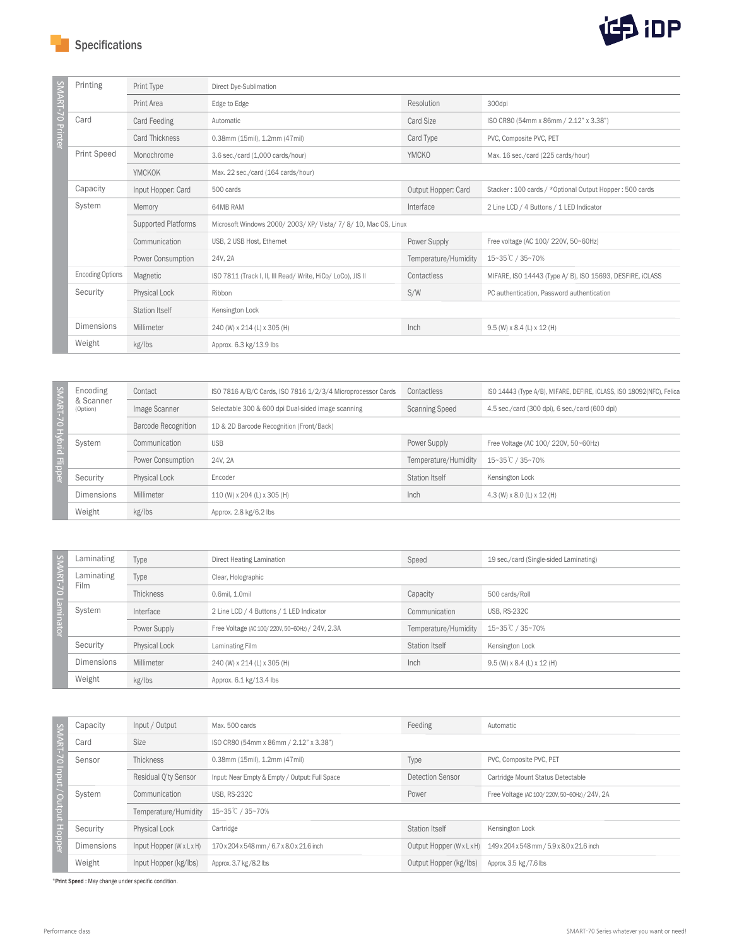Specifications



| MART-70 Printer<br><b>Resolution</b><br>Print Area<br>Edge to Edge<br>300dpi<br>Card<br>Card Feeding<br>Card Size<br>ISO CR80 (54mm x 86mm / 2.12" x 3.38")<br>Automatic<br><b>Card Thickness</b><br>Card Type<br>0.38mm (15mil), 1.2mm (47mil)<br>PVC, Composite PVC, PET | Direct Dye-Sublimation |  |  |  |
|----------------------------------------------------------------------------------------------------------------------------------------------------------------------------------------------------------------------------------------------------------------------------|------------------------|--|--|--|
|                                                                                                                                                                                                                                                                            |                        |  |  |  |
|                                                                                                                                                                                                                                                                            |                        |  |  |  |
|                                                                                                                                                                                                                                                                            |                        |  |  |  |
| <b>Print Speed</b><br><b>YMCKO</b><br>Monochrome<br>3.6 sec./card (1,000 cards/hour)<br>Max. 16 sec./card (225 cards/hour)                                                                                                                                                 |                        |  |  |  |
| <b>YMCKOK</b><br>Max. 22 sec./card (164 cards/hour)                                                                                                                                                                                                                        |                        |  |  |  |
| Capacity<br>Output Hopper: Card<br>Input Hopper: Card<br>500 cards<br>Stacker: 100 cards / *Optional Output Hopper: 500 cards                                                                                                                                              |                        |  |  |  |
| System<br>Interface<br>Memory<br>64MB RAM<br>2 Line LCD / 4 Buttons / 1 LED Indicator                                                                                                                                                                                      |                        |  |  |  |
| <b>Supported Platforms</b><br>Microsoft Windows 2000/ 2003/ XP/ Vista/ 7/ 8/ 10, Mac OS, Linux                                                                                                                                                                             |                        |  |  |  |
| Communication<br>Power Supply<br>USB, 2 USB Host, Ethernet<br>Free voltage (AC 100/ 220V, 50~60Hz)                                                                                                                                                                         |                        |  |  |  |
| Power Consumption<br>Temperature/Humidity<br>15~35℃ / 35~70%<br>24V, 2A                                                                                                                                                                                                    |                        |  |  |  |
| <b>Encoding Options</b><br>Contactless<br>Magnetic<br>ISO 7811 (Track I, II, III Read/ Write, HiCo/ LoCo), JIS II<br>MIFARE, ISO 14443 (Type A/B), ISO 15693, DESFIRE, ICLASS                                                                                              |                        |  |  |  |
| Security<br>S/W<br>Physical Lock<br>Ribbon<br>PC authentication, Password authentication                                                                                                                                                                                   |                        |  |  |  |
| <b>Station Itself</b><br>Kensington Lock                                                                                                                                                                                                                                   |                        |  |  |  |
| Dimensions<br>Inch<br>Millimeter<br>240 (W) x 214 (L) x 305 (H)<br>9.5 (W) x 8.4 (L) x 12 (H)                                                                                                                                                                              |                        |  |  |  |
| Weight<br>kg/lbs<br>Approx. 6.3 kg/13.9 lbs                                                                                                                                                                                                                                |                        |  |  |  |

| SMART-7<br>$\circ$<br><b>Hybrid</b><br><b>Flipper</b> | Encoding<br>& Scanner<br>(Option) | Contact                    | ISO 7816 A/B/C Cards, ISO 7816 1/2/3/4 Microprocessor Cards | Contactless           | ISO 14443 (Type A/B), MIFARE, DEFIRE, iCLASS, ISO 18092(NFC), Felica |
|-------------------------------------------------------|-----------------------------------|----------------------------|-------------------------------------------------------------|-----------------------|----------------------------------------------------------------------|
|                                                       |                                   | Image Scanner              | Selectable 300 & 600 dpi Dual-sided image scanning          | <b>Scanning Speed</b> | 4.5 sec./card (300 dpi), 6 sec./card (600 dpi)                       |
|                                                       |                                   | <b>Barcode Recognition</b> | 1D & 2D Barcode Recognition (Front/Back)                    |                       |                                                                      |
|                                                       | System                            | Communication              | <b>USB</b>                                                  | Power Supply          | Free Voltage (AC 100/ 220V, 50~60Hz)                                 |
|                                                       |                                   | Power Consumption          | 24V, 2A                                                     | Temperature/Humidity  | 15~35℃ / 35~70%                                                      |
|                                                       | Security                          | <b>Physical Lock</b>       | Encoder                                                     | <b>Station Itself</b> | Kensington Lock                                                      |
|                                                       | <b>Dimensions</b>                 | Millimeter                 | 110 (W) x 204 (L) x 305 (H)                                 | Inch                  | 4.3 (W) x 8.0 (L) x 12 (H)                                           |
|                                                       | Weight                            | kg/lbs                     | Approx. 2.8 kg/6.2 lbs                                      |                       |                                                                      |

| $\sim$<br><b>ART-70</b><br>$\overline{\omega}$<br>minato | Laminating                | Type          | Direct Heating Lamination                       | Speed                 | 19 sec./card (Single-sided Laminating) |
|----------------------------------------------------------|---------------------------|---------------|-------------------------------------------------|-----------------------|----------------------------------------|
|                                                          | Laminating<br><b>Film</b> | Type          | Clear, Holographic                              |                       |                                        |
|                                                          |                           | Thickness     | 0.6mil. 1.0mil                                  | Capacity              | 500 cards/Roll                         |
|                                                          | System                    | Interface     | 2 Line LCD / 4 Buttons / 1 LED Indicator        | Communication         | <b>USB, RS-232C</b>                    |
|                                                          |                           | Power Supply  | Free Voltage (AC 100/220V, 50~60Hz) / 24V, 2.3A | Temperature/Humidity  | 15~35℃ / 35~70%                        |
|                                                          | Security                  | Physical Lock | Laminating Film                                 | <b>Station Itself</b> | Kensington Lock                        |
|                                                          | <b>Dimensions</b>         | Millimeter    | 240 (W) x 214 (L) x 305 (H)                     | Inch                  | $9.5$ (W) x 8.4 (L) x 12 (H)           |
|                                                          | Weight                    | kg/lbs        | Approx. 6.1 kg/13.4 lbs                         |                       |                                        |

|    | Capacity          | Input / Output        | Max, 500 cards                                 | Feeding                   | Automatic                                     |  |
|----|-------------------|-----------------------|------------------------------------------------|---------------------------|-----------------------------------------------|--|
| -- | Card              | <b>Size</b>           | ISO CR80 (54mm x 86mm / 2.12" x 3.38")         |                           |                                               |  |
|    | Sensor            | <b>Thickness</b>      | 0.38mm (15mil), 1.2mm (47mil)                  | Type                      | PVC, Composite PVC, PET                       |  |
|    |                   | Residual O'ty Sensor  | Input: Near Empty & Empty / Output: Full Space | Detection Sensor          | Cartridge Mount Status Detectable             |  |
|    | System            | Communication         | <b>USB. RS-232C</b>                            | Power                     | Free Voltage (AC 100/220V, 50~60Hz) / 24V, 2A |  |
|    |                   | Temperature/Humidity  | 15~35℃ / 35~70%                                |                           |                                               |  |
|    | Security          | <b>Physical Lock</b>  | Cartridge                                      | <b>Station Itself</b>     | Kensington Lock                               |  |
| Fe | <b>Dimensions</b> | Input Hopper (WxLxH)  | 170 x 204 x 548 mm / 6.7 x 8.0 x 21.6 inch     | Output Hopper (W x L x H) | 149 x 204 x 548 mm / 5.9 x 8.0 x 21.6 inch    |  |
|    | Weight            | Input Hopper (kg/lbs) | Approx. 3.7 kg / 8.2 lbs                       | Output Hopper (kg/lbs)    | Approx. 3.5 kg / 7.6 lbs                      |  |

\*Print Speed : May change under specific condition.